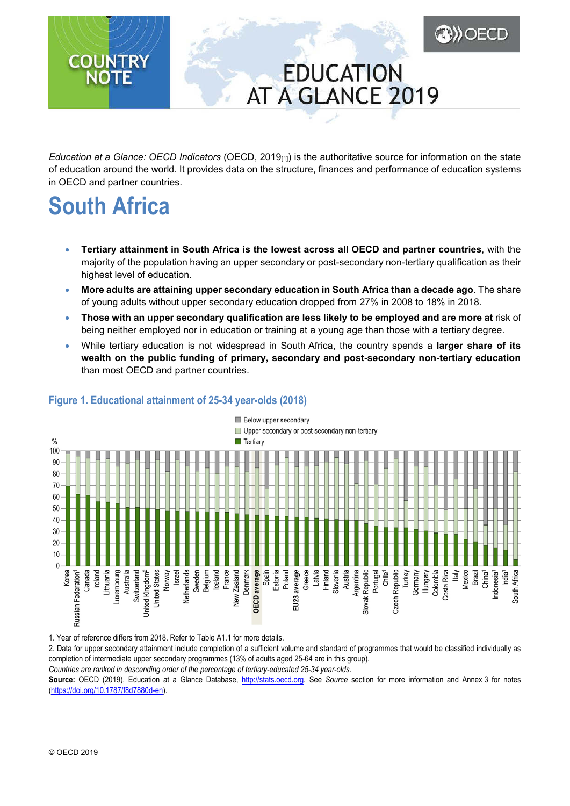## **EDUCATION** AT A GLANCE 2019

**ABD) OECD** 

*Education at a Glance: OECD Indicators* (OECD, 2019[1]) is the authoritative source for information on the state of education around the world. It provides data on the structure, finances and performance of education systems in OECD and partner countries.

# **South Africa**

**COUNTRY** 

**NOTE** 

- **Tertiary attainment in South Africa is the lowest across all OECD and partner countries**, with the majority of the population having an upper secondary or post-secondary non-tertiary qualification as their highest level of education.
- **More adults are attaining upper secondary education in South Africa than a decade ago**. The share of young adults without upper secondary education dropped from 27% in 2008 to 18% in 2018.
- **Those with an upper secondary qualification are less likely to be employed and are more at** risk of being neither employed nor in education or training at a young age than those with a tertiary degree.
- While tertiary education is not widespread in South Africa, the country spends a **larger share of its wealth on the public funding of primary, secondary and post-secondary non-tertiary education** than most OECD and partner countries.



## <span id="page-0-0"></span>**Figure 1. Educational attainment of 25-34 year-olds (2018)**

1. Year of reference differs from 2018. Refer to Table A1.1 for more details.

2. Data for upper secondary attainment include completion of a sufficient volume and standard of programmes that would be classified individually as completion of intermediate upper secondary programmes (13% of adults aged 25-64 are in this group).

*Countries are ranked in descending order of the percentage of tertiary-educated 25-34 year-olds.*

**Source:** OECD (2019), Education at a Glance Database, [http://stats.oecd.org.](http://stats.oecd.org/) See *Source* section for more information and Annex 3 for notes [\(https://doi.org/10.1787/f8d7880d-en\).](https://doi.org/10.1787/f8d7880d-en)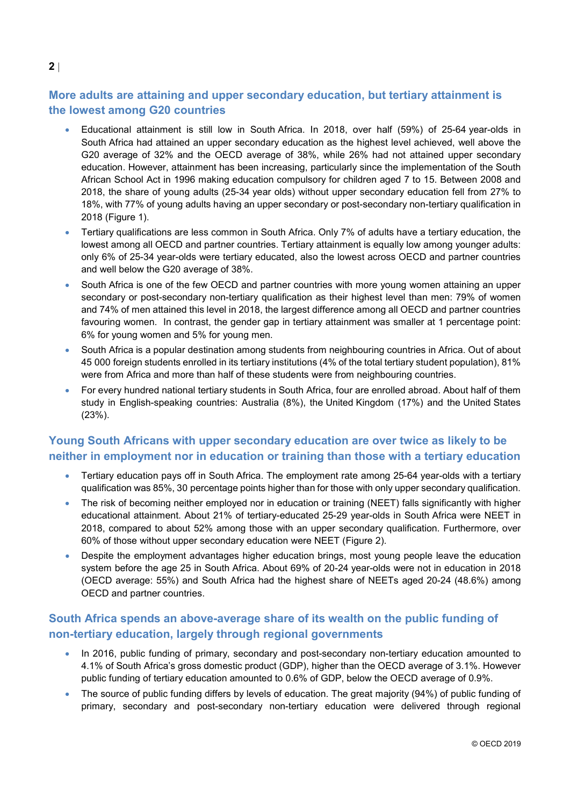## **More adults are attaining and upper secondary education, but tertiary attainment is the lowest among G20 countries**

- Educational attainment is still low in South Africa. In 2018, over half (59%) of 25-64 year-olds in South Africa had attained an upper secondary education as the highest level achieved, well above the G20 average of 32% and the OECD average of 38%, while 26% had not attained upper secondary education. However, attainment has been increasing, particularly since the implementation of the South African School Act in 1996 making education compulsory for children aged 7 to 15. Between 2008 and 2018, the share of young adults (25-34 year olds) without upper secondary education fell from 27% to 18%, with 77% of young adults having an upper secondary or post-secondary non-tertiary qualification in 2018 [\(Figure](#page-0-0) 1).
- Tertiary qualifications are less common in South Africa. Only 7% of adults have a tertiary education, the lowest among all OECD and partner countries. Tertiary attainment is equally low among younger adults: only 6% of 25-34 year-olds were tertiary educated, also the lowest across OECD and partner countries and well below the G20 average of 38%.
- South Africa is one of the few OECD and partner countries with more young women attaining an upper secondary or post-secondary non-tertiary qualification as their highest level than men: 79% of women and 74% of men attained this level in 2018, the largest difference among all OECD and partner countries favouring women. In contrast, the gender gap in tertiary attainment was smaller at 1 percentage point: 6% for young women and 5% for young men.
- South Africa is a popular destination among students from neighbouring countries in Africa. Out of about 45 000 foreign students enrolled in its tertiary institutions (4% of the total tertiary student population), 81% were from Africa and more than half of these students were from neighbouring countries.
- For every hundred national tertiary students in South Africa, four are enrolled abroad. About half of them study in English-speaking countries: Australia (8%), the United Kingdom (17%) and the United States (23%).

### **Young South Africans with upper secondary education are over twice as likely to be neither in employment nor in education or training than those with a tertiary education**

- Tertiary education pays off in South Africa. The employment rate among 25-64 year-olds with a tertiary qualification was 85%, 30 percentage points higher than for those with only upper secondary qualification.
- The risk of becoming neither employed nor in education or training (NEET) falls significantly with higher educational attainment. About 21% of tertiary-educated 25-29 year-olds in South Africa were NEET in 2018, compared to about 52% among those with an upper secondary qualification. Furthermore, over 60% of those without upper secondary education were NEET [\(Figure](#page-2-0) 2).
- Despite the employment advantages higher education brings, most young people leave the education system before the age 25 in South Africa. About 69% of 20-24 year-olds were not in education in 2018 (OECD average: 55%) and South Africa had the highest share of NEETs aged 20-24 (48.6%) among OECD and partner countries.

### **South Africa spends an above-average share of its wealth on the public funding of non-tertiary education, largely through regional governments**

- In 2016, public funding of primary, secondary and post-secondary non-tertiary education amounted to 4.1% of South Africa's gross domestic product (GDP), higher than the OECD average of 3.1%. However public funding of tertiary education amounted to 0.6% of GDP, below the OECD average of 0.9%.
- The source of public funding differs by levels of education. The great majority (94%) of public funding of primary, secondary and post-secondary non-tertiary education were delivered through regional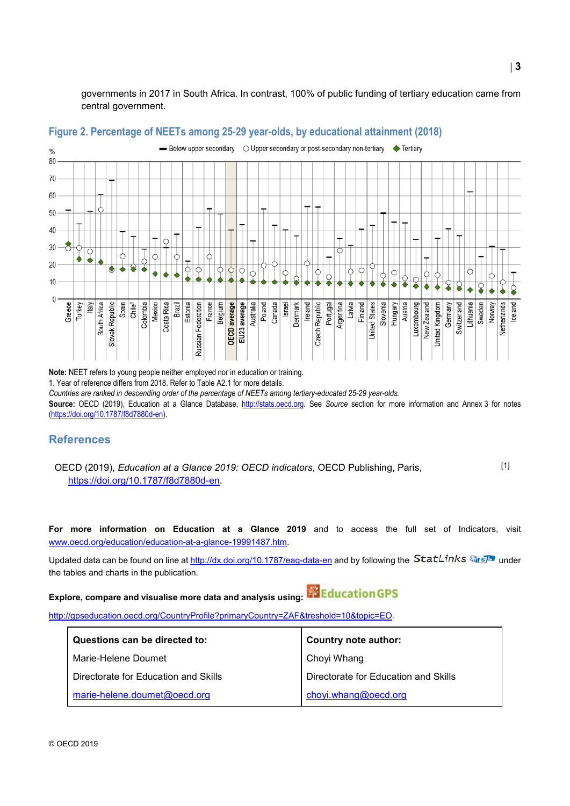governments in 2017 in South Africa. In contrast, 100% of public funding of tertiary education came from central government.



#### <span id="page-2-0"></span>**Figure 2. Percentage of NEETs among 25-29 year-olds, by educational attainment (2018)**

**Note:** NEET refers to young people neither employed nor in education or training.

1. Year of reference differs from 2018. Refer to Table A2.1 for more details.

*Countries are ranked in descending order of the percentage of NEETs among tertiary-educated 25-29 year-olds.*

**Source:** OECD (2019), Education at a Glance Database, [http://stats.oecd.org.](http://stats.oecd.org/) See *Source* section for more information and Annex 3 for notes [\(https://doi.org/10.1787/f8d7880d-en\).](https://doi.org/10.1787/f8d7880d-en)

#### **References**

OECD (2019), *Education at a Glance 2019: OECD indicators*, OECD Publishing, Paris, https://doi.org/10.1787/f8d7880d-en. [1]

**For more information on Education at a Glance 2019** and to access the full set of Indicators, visit [www.oecd.org/education/education-at-a-glance-19991487.htm.](http://www.oecd.org/education/education-at-a-glance-19991487.htm)

Updated data can be found on line at<http://dx.doi.org/10.1787/eag-data-en> and by following the StatLinks and I the tables and charts in the publication.

**Explore, compare and visualise more data and analysis using:**

[http://gpseducation.oecd.org/CountryProfile?primaryCountry=ZAF&treshold=10&topic=EO.](http://gpseducation.oecd.org/CountryProfile?primaryCountry=ZAF&treshold=10&topic=EO)

| Questions can be directed to:        | <b>Country note author:</b>          |
|--------------------------------------|--------------------------------------|
| Marie-Helene Doumet                  | Choyi Whang                          |
| Directorate for Education and Skills | Directorate for Education and Skills |
| marie-helene.doumet@oecd.org         | choyi.whang@oecd.org                 |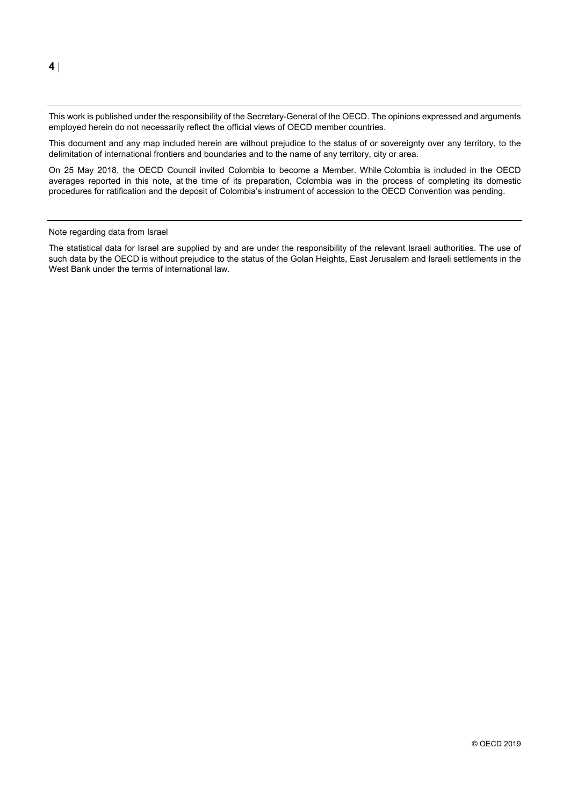This work is published under the responsibility of the Secretary-General of the OECD. The opinions expressed and arguments employed herein do not necessarily reflect the official views of OECD member countries.

This document and any map included herein are without prejudice to the status of or sovereignty over any territory, to the delimitation of international frontiers and boundaries and to the name of any territory, city or area.

On 25 May 2018, the OECD Council invited Colombia to become a Member. While Colombia is included in the OECD averages reported in this note, at the time of its preparation, Colombia was in the process of completing its domestic procedures for ratification and the deposit of Colombia's instrument of accession to the OECD Convention was pending.

#### Note regarding data from Israel

The statistical data for Israel are supplied by and are under the responsibility of the relevant Israeli authorities. The use of such data by the OECD is without prejudice to the status of the Golan Heights, East Jerusalem and Israeli settlements in the West Bank under the terms of international law.

**4** |